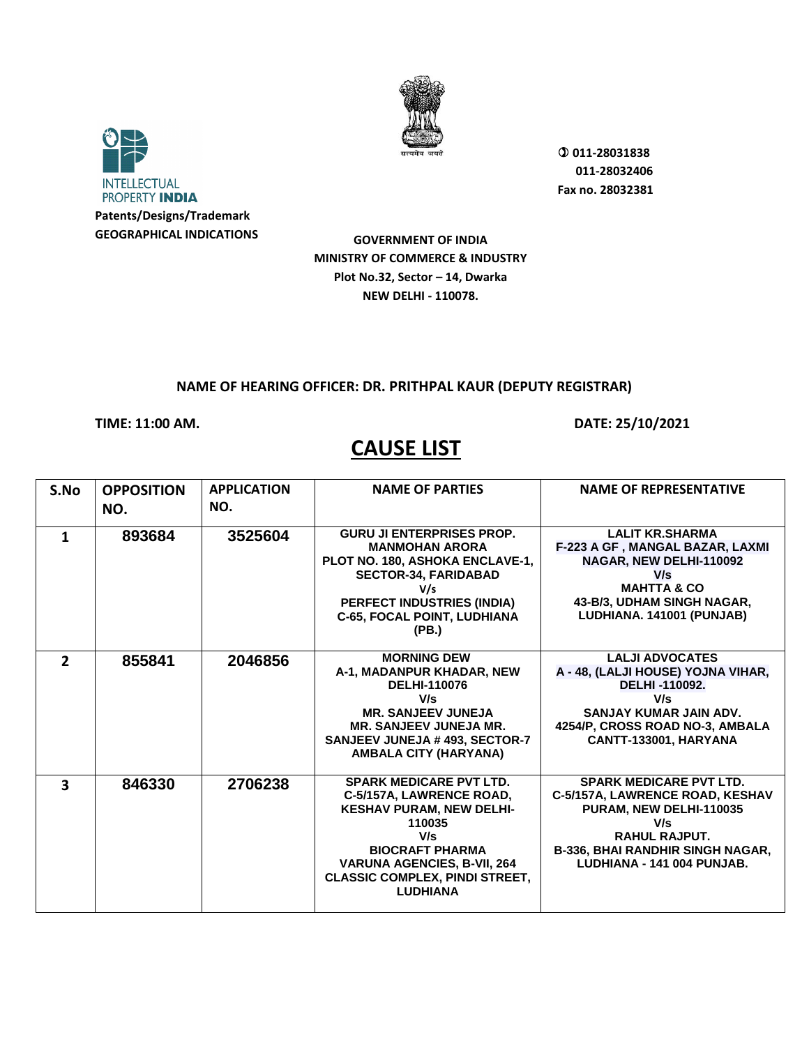



**Patents/Designs/Trademark GEOGRAPHICAL INDICATIONS**  **011-28031838 011-28032406 Fax no. 28032381**

**GOVERNMENT OF INDIA MINISTRY OF COMMERCE & INDUSTRY Plot No.32, Sector – 14, Dwarka NEW DELHI - 110078.**

## **NAME OF HEARING OFFICER: DR. PRITHPAL KAUR (DEPUTY REGISTRAR)**

## **TIME: 11:00 AM. DATE: 25/10/2021**

## **CAUSE LIST**

| S.No                    | <b>OPPOSITION</b> | <b>APPLICATION</b> | <b>NAME OF PARTIES</b>                                                                                                                                                                                                                     | <b>NAME OF REPRESENTATIVE</b>                                                                                                                                                                 |
|-------------------------|-------------------|--------------------|--------------------------------------------------------------------------------------------------------------------------------------------------------------------------------------------------------------------------------------------|-----------------------------------------------------------------------------------------------------------------------------------------------------------------------------------------------|
|                         | NO.               | NO.                |                                                                                                                                                                                                                                            |                                                                                                                                                                                               |
| 1                       | 893684            | 3525604            | <b>GURU JI ENTERPRISES PROP.</b><br><b>MANMOHAN ARORA</b><br>PLOT NO. 180, ASHOKA ENCLAVE-1,<br><b>SECTOR-34, FARIDABAD</b><br>V/s<br><b>PERFECT INDUSTRIES (INDIA)</b><br><b>C-65, FOCAL POINT, LUDHIANA</b><br>(PB.)                     | <b>LALIT KR.SHARMA</b><br>F-223 A GF, MANGAL BAZAR, LAXMI<br>NAGAR, NEW DELHI-110092<br>V/s<br><b>MAHTTA &amp; CO</b><br>43-B/3, UDHAM SINGH NAGAR,<br>LUDHIANA. 141001 (PUNJAB)              |
| $\overline{2}$          | 855841            | 2046856            | <b>MORNING DEW</b><br>A-1, MADANPUR KHADAR, NEW<br><b>DELHI-110076</b><br>V/s<br><b>MR. SANJEEV JUNEJA</b><br><b>MR. SANJEEV JUNEJA MR.</b><br><b>SANJEEV JUNEJA # 493, SECTOR-7</b><br>AMBALA CITY (HARYANA)                              | <b>LALJI ADVOCATES</b><br>A - 48, (LALJI HOUSE) YOJNA VIHAR,<br>DELHI-110092.<br>V/s<br>SANJAY KUMAR JAIN ADV.<br>4254/P, CROSS ROAD NO-3, AMBALA<br>CANTT-133001, HARYANA                    |
| $\overline{\mathbf{3}}$ | 846330            | 2706238            | <b>SPARK MEDICARE PVT LTD.</b><br>C-5/157A, LAWRENCE ROAD,<br><b>KESHAV PURAM, NEW DELHI-</b><br>110035<br>V/s<br><b>BIOCRAFT PHARMA</b><br><b>VARUNA AGENCIES, B-VII, 264</b><br><b>CLASSIC COMPLEX, PINDI STREET,</b><br><b>LUDHIANA</b> | <b>SPARK MEDICARE PVT LTD.</b><br>C-5/157A, LAWRENCE ROAD, KESHAV<br>PURAM, NEW DELHI-110035<br>V/s<br><b>RAHUL RAJPUT.</b><br>B-336, BHAI RANDHIR SINGH NAGAR,<br>LUDHIANA - 141 004 PUNJAB. |